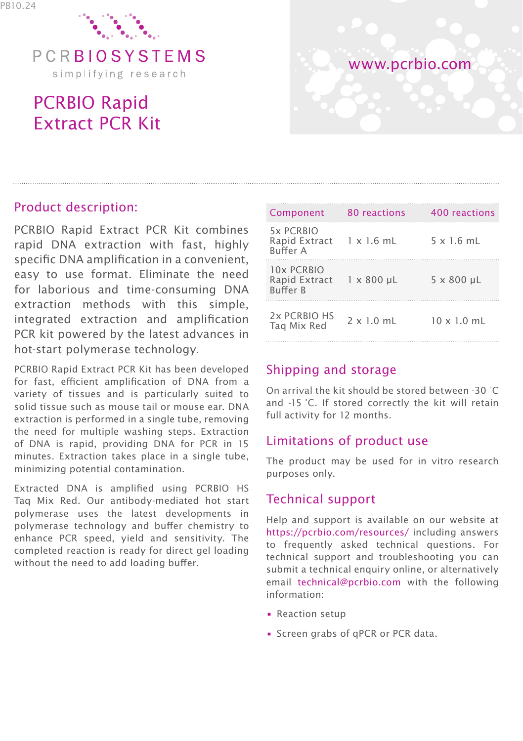

simplifying research

# PCRBIO Rapid Extract PCR Kit



## Product description:

PCRBIO Rapid Extract PCR Kit combines rapid DNA extraction with fast, highly specific DNA amplification in a convenient, easy to use format. Eliminate the need for laborious and time-consuming DNA extraction methods with this simple, integrated extraction and amplification PCR kit powered by the latest advances in hot-start polymerase technology.

PCRBIO Rapid Extract PCR Kit has been developed for fast, efficient amplification of DNA from a variety of tissues and is particularly suited to solid tissue such as mouse tail or mouse ear. DNA extraction is performed in a single tube, removing the need for multiple washing steps. Extraction of DNA is rapid, providing DNA for PCR in 15 minutes. Extraction takes place in a single tube, minimizing potential contamination.

Extracted DNA is amplified using PCRBIO HS Taq Mix Red. Our antibody-mediated hot start polymerase uses the latest developments in polymerase technology and buffer chemistry to enhance PCR speed, yield and sensitivity. The completed reaction is ready for direct gel loading without the need to add loading buffer.

| Component                                                | 80 reactions      | 400 reactions      |
|----------------------------------------------------------|-------------------|--------------------|
| 5x PCRBIO<br>Rapid Extract 1 x 1.6 mL<br><b>Buffer A</b> |                   | $5 \times 1.6$ mL  |
| 10x PCRBIO<br>Rapid Extract<br><b>Ruffer R</b>           | $1 \times 800$ µL | 5 x 800 µL         |
| 2x PCRBIO HS<br>Tag Mix Red                              | $2 \times 1.0$ mL | $10 \times 1.0$ mL |

#### Shipping and storage

On arrival the kit should be stored between -30 °C and -15 °C. If stored correctly the kit will retain full activity for 12 months.

## Limitations of product use

The product may be used for in vitro research purposes only.

#### Technical support

Help and support is available on our website at https://pcrbio.com/resources/ including answers to frequently asked technical questions. For technical support and troubleshooting you can submit a technical enquiry online, or alternatively email technical@pcrbio.com with the following information:

- Reaction setup
- Screen grabs of qPCR or PCR data.